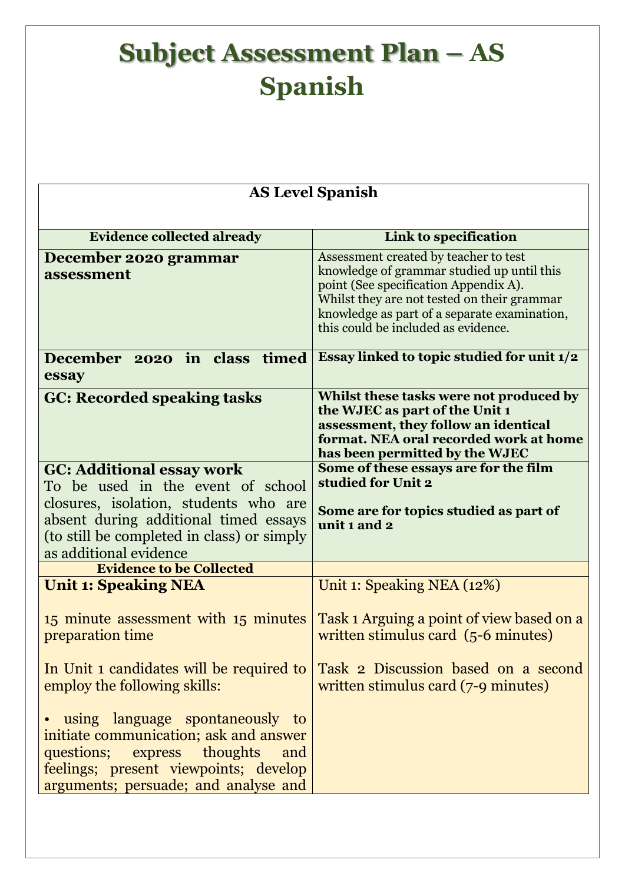| <b>AS Level Spanish</b>                                                                                                                                                                            |                                                                                                                                                                                                                                                                    |  |
|----------------------------------------------------------------------------------------------------------------------------------------------------------------------------------------------------|--------------------------------------------------------------------------------------------------------------------------------------------------------------------------------------------------------------------------------------------------------------------|--|
| <b>Evidence collected already</b>                                                                                                                                                                  | Link to specification                                                                                                                                                                                                                                              |  |
| December 2020 grammar<br>assessment                                                                                                                                                                | Assessment created by teacher to test<br>knowledge of grammar studied up until this<br>point (See specification Appendix A).<br>Whilst they are not tested on their grammar<br>knowledge as part of a separate examination,<br>this could be included as evidence. |  |
| December 2020 in class timed<br>essay                                                                                                                                                              | Essay linked to topic studied for unit 1/2                                                                                                                                                                                                                         |  |
| <b>GC: Recorded speaking tasks</b>                                                                                                                                                                 | Whilst these tasks were not produced by<br>the WJEC as part of the Unit 1<br>assessment, they follow an identical<br>format. NEA oral recorded work at home<br>has been permitted by the WJEC                                                                      |  |
| <b>GC: Additional essay work</b><br>To be used in the event of school                                                                                                                              | Some of these essays are for the film<br>studied for Unit 2                                                                                                                                                                                                        |  |
| closures, isolation, students who are<br>absent during additional timed essays<br>(to still be completed in class) or simply<br>as additional evidence                                             | Some are for topics studied as part of<br>unit 1 and 2                                                                                                                                                                                                             |  |
| <b>Evidence to be Collected</b>                                                                                                                                                                    |                                                                                                                                                                                                                                                                    |  |
| <b>Unit 1: Speaking NEA</b>                                                                                                                                                                        | Unit 1: Speaking NEA (12%)                                                                                                                                                                                                                                         |  |
| 15 minute assessment with 15 minutes<br>preparation time                                                                                                                                           | Task 1 Arguing a point of view based on a<br>written stimulus card (5-6 minutes)                                                                                                                                                                                   |  |
| In Unit 1 candidates will be required to<br>employ the following skills:                                                                                                                           | Task 2 Discussion based on a second<br>written stimulus card (7-9 minutes)                                                                                                                                                                                         |  |
| • using language spontaneously to<br>initiate communication; ask and answer<br>questions; express thoughts<br>and<br>feelings; present viewpoints; develop<br>arguments; persuade; and analyse and |                                                                                                                                                                                                                                                                    |  |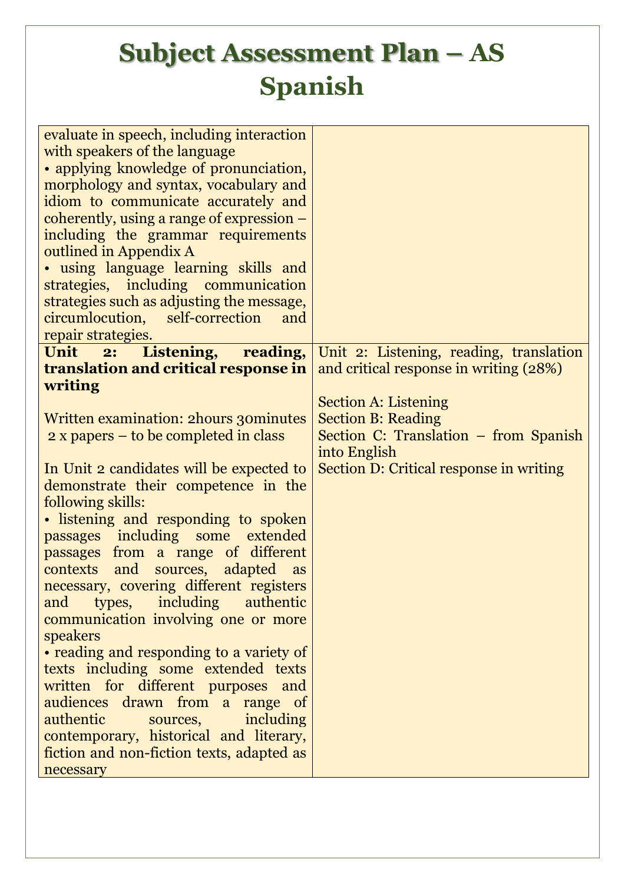| evaluate in speech, including interaction   |                                                                            |
|---------------------------------------------|----------------------------------------------------------------------------|
| with speakers of the language               |                                                                            |
| • applying knowledge of pronunciation,      |                                                                            |
|                                             |                                                                            |
| morphology and syntax, vocabulary and       |                                                                            |
| idiom to communicate accurately and         |                                                                            |
| coherently, using a range of expression $-$ |                                                                            |
| including the grammar requirements          |                                                                            |
| outlined in Appendix A                      |                                                                            |
| • using language learning skills and        |                                                                            |
|                                             |                                                                            |
| strategies, including communication         |                                                                            |
| strategies such as adjusting the message,   |                                                                            |
| circumlocution,<br>self-correction<br>and   |                                                                            |
| repair strategies.                          |                                                                            |
|                                             | <b>Unit</b> 2: Listening, reading, Unit 2: Listening, reading, translation |
| <b>translation and critical response in</b> | and critical response in writing (28%)                                     |
| writing                                     |                                                                            |
|                                             |                                                                            |
|                                             | <b>Section A: Listening</b>                                                |
| Written examination: 2 hours 30 minutes     | <b>Section B: Reading</b>                                                  |
| $2 x$ papers – to be completed in class     | Section C: Translation – from Spanish                                      |
|                                             | into English                                                               |
| In Unit 2 candidates will be expected to    | Section D: Critical response in writing                                    |
| demonstrate their competence in the         |                                                                            |
| following skills:                           |                                                                            |
|                                             |                                                                            |
| • listening and responding to spoken        |                                                                            |
| passages including some extended            |                                                                            |
| passages from a range of different          |                                                                            |
| contexts and sources, adapted<br>as         |                                                                            |
| necessary, covering different registers     |                                                                            |
| types, including<br>authentic<br>and        |                                                                            |
|                                             |                                                                            |
| communication involving one or more         |                                                                            |
| speakers                                    |                                                                            |
| • reading and responding to a variety of    |                                                                            |
| texts including some extended texts         |                                                                            |
| written for different purposes and          |                                                                            |
| audiences drawn from a range of             |                                                                            |
| authentic<br>including<br>sources,          |                                                                            |
|                                             |                                                                            |
| contemporary, historical and literary,      |                                                                            |
| fiction and non-fiction texts, adapted as   |                                                                            |
| necessary                                   |                                                                            |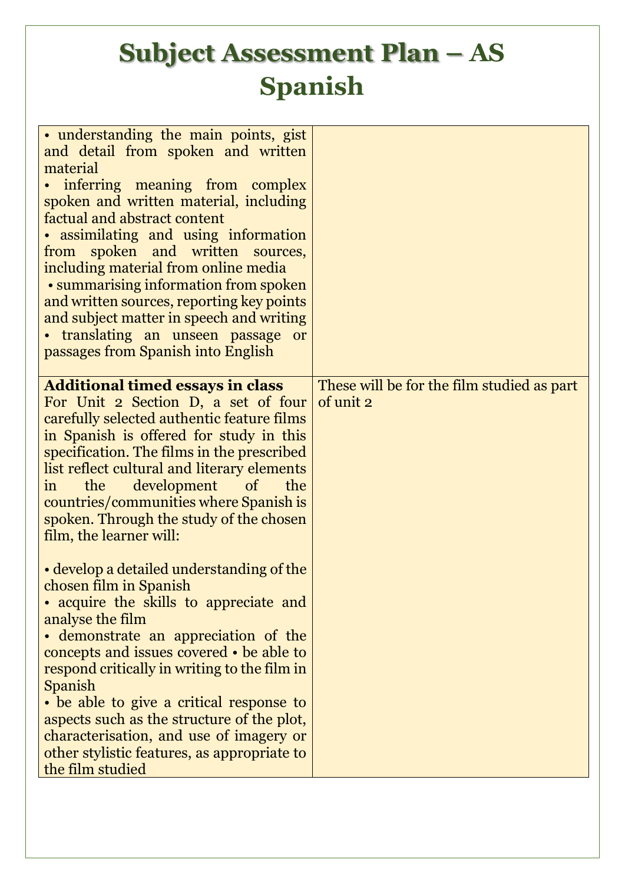| • understanding the main points, gist<br>and detail from spoken and written<br>material<br>• inferring meaning from complex<br>spoken and written material, including<br>factual and abstract content<br>• assimilating and using information<br>from spoken and written sources,<br>including material from online media<br>• summarising information from spoken<br>and written sources, reporting key points<br>and subject matter in speech and writing<br>• translating an unseen passage<br><b>or</b><br>passages from Spanish into English |                                            |
|---------------------------------------------------------------------------------------------------------------------------------------------------------------------------------------------------------------------------------------------------------------------------------------------------------------------------------------------------------------------------------------------------------------------------------------------------------------------------------------------------------------------------------------------------|--------------------------------------------|
| <b>Additional timed essays in class</b>                                                                                                                                                                                                                                                                                                                                                                                                                                                                                                           | These will be for the film studied as part |
| For Unit 2 Section D, a set of four<br>carefully selected authentic feature films<br>in Spanish is offered for study in this<br>specification. The films in the prescribed<br>list reflect cultural and literary elements<br>the<br>development of<br>the<br>$\sin$<br>countries/communities where Spanish is<br>spoken. Through the study of the chosen<br>film, the learner will:                                                                                                                                                               | of unit 2                                  |
| • develop a detailed understanding of the                                                                                                                                                                                                                                                                                                                                                                                                                                                                                                         |                                            |
| chosen film in Spanish                                                                                                                                                                                                                                                                                                                                                                                                                                                                                                                            |                                            |
| • acquire the skills to appreciate and                                                                                                                                                                                                                                                                                                                                                                                                                                                                                                            |                                            |
| analyse the film                                                                                                                                                                                                                                                                                                                                                                                                                                                                                                                                  |                                            |
| • demonstrate an appreciation of the                                                                                                                                                                                                                                                                                                                                                                                                                                                                                                              |                                            |
| concepts and issues covered • be able to                                                                                                                                                                                                                                                                                                                                                                                                                                                                                                          |                                            |
| respond critically in writing to the film in<br>Spanish                                                                                                                                                                                                                                                                                                                                                                                                                                                                                           |                                            |
| • be able to give a critical response to                                                                                                                                                                                                                                                                                                                                                                                                                                                                                                          |                                            |
| aspects such as the structure of the plot,                                                                                                                                                                                                                                                                                                                                                                                                                                                                                                        |                                            |
| characterisation, and use of imagery or                                                                                                                                                                                                                                                                                                                                                                                                                                                                                                           |                                            |
| other stylistic features, as appropriate to                                                                                                                                                                                                                                                                                                                                                                                                                                                                                                       |                                            |
| the film studied                                                                                                                                                                                                                                                                                                                                                                                                                                                                                                                                  |                                            |